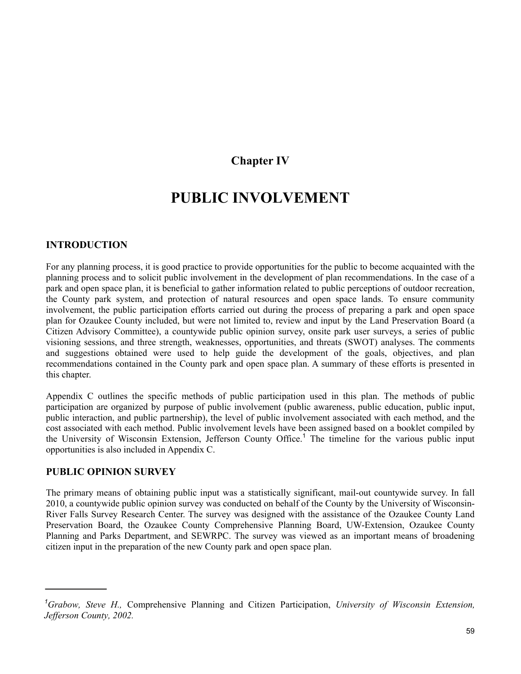# **Chapter IV**

# **PUBLIC INVOLVEMENT**

## **INTRODUCTION**

For any planning process, it is good practice to provide opportunities for the public to become acquainted with the planning process and to solicit public involvement in the development of plan recommendations. In the case of a park and open space plan, it is beneficial to gather information related to public perceptions of outdoor recreation, the County park system, and protection of natural resources and open space lands. To ensure community involvement, the public participation efforts carried out during the process of preparing a park and open space plan for Ozaukee County included, but were not limited to, review and input by the Land Preservation Board (a Citizen Advisory Committee), a countywide public opinion survey, onsite park user surveys, a series of public visioning sessions, and three strength, weaknesses, opportunities, and threats (SWOT) analyses. The comments and suggestions obtained were used to help guide the development of the goals, objectives, and plan recommendations contained in the County park and open space plan. A summary of these efforts is presented in this chapter.

Appendix C outlines the specific methods of public participation used in this plan. The methods of public participation are organized by purpose of public involvement (public awareness, public education, public input, public interaction, and public partnership), the level of public involvement associated with each method, and the cost associated with each method. Public involvement levels have been assigned based on a booklet compiled by the University of Wisconsin Extension, Jefferson County Office.<sup>1</sup> The timeline for the various public input opportunities is also included in Appendix C.

## **PUBLIC OPINION SURVEY**

The primary means of obtaining public input was a statistically significant, mail-out countywide survey. In fall 2010, a countywide public opinion survey was conducted on behalf of the County by the University of Wisconsin-River Falls Survey Research Center. The survey was designed with the assistance of the Ozaukee County Land Preservation Board, the Ozaukee County Comprehensive Planning Board, UW-Extension, Ozaukee County Planning and Parks Department, and SEWRPC. The survey was viewed as an important means of broadening citizen input in the preparation of the new County park and open space plan.

*<sup>1</sup> Grabow, Steve H.,* Comprehensive Planning and Citizen Participation, *University of Wisconsin Extension, Jefferson County, 2002.*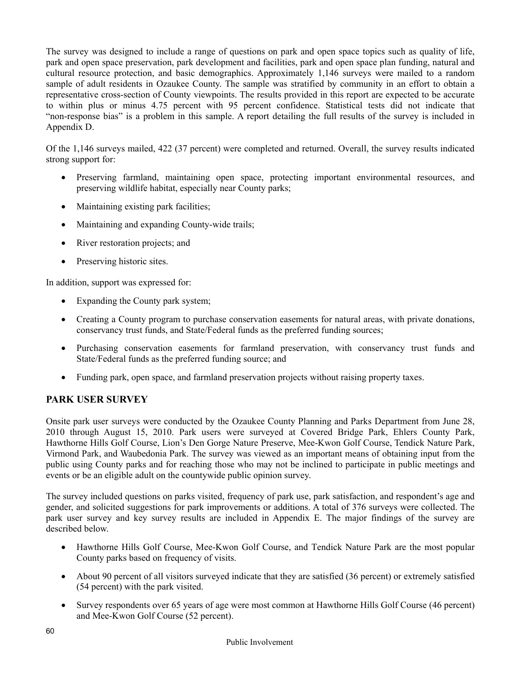The survey was designed to include a range of questions on park and open space topics such as quality of life, park and open space preservation, park development and facilities, park and open space plan funding, natural and cultural resource protection, and basic demographics. Approximately 1,146 surveys were mailed to a random sample of adult residents in Ozaukee County. The sample was stratified by community in an effort to obtain a representative cross-section of County viewpoints. The results provided in this report are expected to be accurate to within plus or minus 4.75 percent with 95 percent confidence. Statistical tests did not indicate that "non-response bias" is a problem in this sample. A report detailing the full results of the survey is included in Appendix D.

Of the 1,146 surveys mailed, 422 (37 percent) were completed and returned. Overall, the survey results indicated strong support for:

- Preserving farmland, maintaining open space, protecting important environmental resources, and preserving wildlife habitat, especially near County parks;
- Maintaining existing park facilities;
- Maintaining and expanding County-wide trails;
- River restoration projects; and
- Preserving historic sites.

In addition, support was expressed for:

- Expanding the County park system;
- Creating a County program to purchase conservation easements for natural areas, with private donations, conservancy trust funds, and State/Federal funds as the preferred funding sources;
- Purchasing conservation easements for farmland preservation, with conservancy trust funds and State/Federal funds as the preferred funding source; and
- Funding park, open space, and farmland preservation projects without raising property taxes.

# **PARK USER SURVEY**

Onsite park user surveys were conducted by the Ozaukee County Planning and Parks Department from June 28, 2010 through August 15, 2010. Park users were surveyed at Covered Bridge Park, Ehlers County Park, Hawthorne Hills Golf Course, Lion's Den Gorge Nature Preserve, Mee-Kwon Golf Course, Tendick Nature Park, Virmond Park, and Waubedonia Park. The survey was viewed as an important means of obtaining input from the public using County parks and for reaching those who may not be inclined to participate in public meetings and events or be an eligible adult on the countywide public opinion survey.

The survey included questions on parks visited, frequency of park use, park satisfaction, and respondent's age and gender, and solicited suggestions for park improvements or additions. A total of 376 surveys were collected. The park user survey and key survey results are included in Appendix E. The major findings of the survey are described below.

- Hawthorne Hills Golf Course, Mee-Kwon Golf Course, and Tendick Nature Park are the most popular County parks based on frequency of visits.
- About 90 percent of all visitors surveyed indicate that they are satisfied (36 percent) or extremely satisfied (54 percent) with the park visited.
- Survey respondents over 65 years of age were most common at Hawthorne Hills Golf Course (46 percent) and Mee-Kwon Golf Course (52 percent).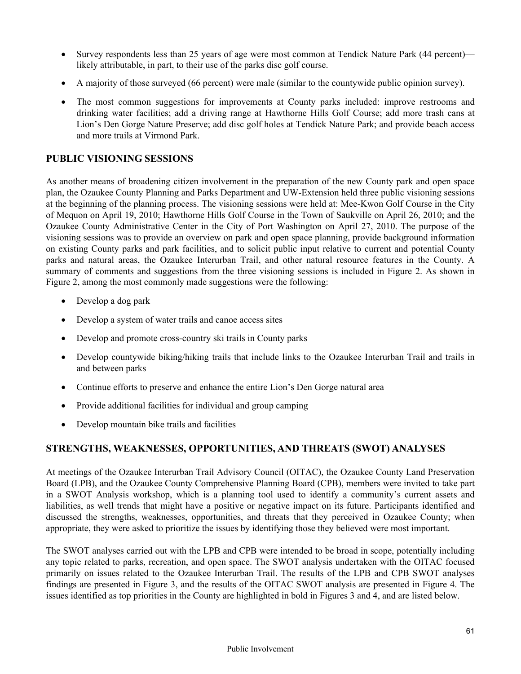- Survey respondents less than 25 years of age were most common at Tendick Nature Park (44 percent) likely attributable, in part, to their use of the parks disc golf course.
- A majority of those surveyed (66 percent) were male (similar to the countywide public opinion survey).
- The most common suggestions for improvements at County parks included: improve restrooms and drinking water facilities; add a driving range at Hawthorne Hills Golf Course; add more trash cans at Lion's Den Gorge Nature Preserve; add disc golf holes at Tendick Nature Park; and provide beach access and more trails at Virmond Park.

## **PUBLIC VISIONING SESSIONS**

As another means of broadening citizen involvement in the preparation of the new County park and open space plan, the Ozaukee County Planning and Parks Department and UW-Extension held three public visioning sessions at the beginning of the planning process. The visioning sessions were held at: Mee-Kwon Golf Course in the City of Mequon on April 19, 2010; Hawthorne Hills Golf Course in the Town of Saukville on April 26, 2010; and the Ozaukee County Administrative Center in the City of Port Washington on April 27, 2010. The purpose of the visioning sessions was to provide an overview on park and open space planning, provide background information on existing County parks and park facilities, and to solicit public input relative to current and potential County parks and natural areas, the Ozaukee Interurban Trail, and other natural resource features in the County. A summary of comments and suggestions from the three visioning sessions is included in Figure 2. As shown in Figure 2, among the most commonly made suggestions were the following:

- Develop a dog park
- Develop a system of water trails and canoe access sites
- Develop and promote cross-country ski trails in County parks
- Develop countywide biking/hiking trails that include links to the Ozaukee Interurban Trail and trails in and between parks
- Continue efforts to preserve and enhance the entire Lion's Den Gorge natural area
- Provide additional facilities for individual and group camping
- Develop mountain bike trails and facilities

## **STRENGTHS, WEAKNESSES, OPPORTUNITIES, AND THREATS (SWOT) ANALYSES**

At meetings of the Ozaukee Interurban Trail Advisory Council (OITAC), the Ozaukee County Land Preservation Board (LPB), and the Ozaukee County Comprehensive Planning Board (CPB), members were invited to take part in a SWOT Analysis workshop, which is a planning tool used to identify a community's current assets and liabilities, as well trends that might have a positive or negative impact on its future. Participants identified and discussed the strengths, weaknesses, opportunities, and threats that they perceived in Ozaukee County; when appropriate, they were asked to prioritize the issues by identifying those they believed were most important.

The SWOT analyses carried out with the LPB and CPB were intended to be broad in scope, potentially including any topic related to parks, recreation, and open space. The SWOT analysis undertaken with the OITAC focused primarily on issues related to the Ozaukee Interurban Trail. The results of the LPB and CPB SWOT analyses findings are presented in Figure 3, and the results of the OITAC SWOT analysis are presented in Figure 4. The issues identified as top priorities in the County are highlighted in bold in Figures 3 and 4, and are listed below.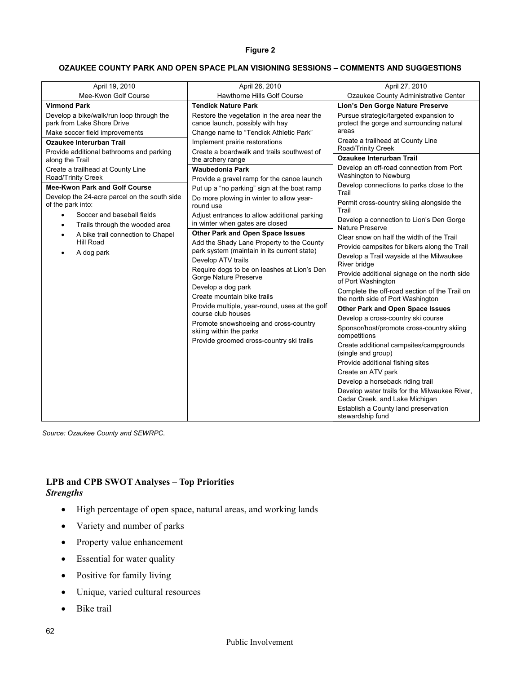### **Figure 2**

### **OZAUKEE COUNTY PARK AND OPEN SPACE PLAN VISIONING SESSIONS – COMMENTS AND SUGGESTIONS**

| April 19, 2010                                                                                           | April 26, 2010                                                                                                                                                                                                                                           | April 27, 2010                                                                                                                                                                                                                                                                                                                                                                                                |
|----------------------------------------------------------------------------------------------------------|----------------------------------------------------------------------------------------------------------------------------------------------------------------------------------------------------------------------------------------------------------|---------------------------------------------------------------------------------------------------------------------------------------------------------------------------------------------------------------------------------------------------------------------------------------------------------------------------------------------------------------------------------------------------------------|
| Mee-Kwon Golf Course                                                                                     | Hawthorne Hills Golf Course                                                                                                                                                                                                                              | Ozaukee County Administrative Center                                                                                                                                                                                                                                                                                                                                                                          |
| <b>Virmond Park</b>                                                                                      | <b>Tendick Nature Park</b>                                                                                                                                                                                                                               | Lion's Den Gorge Nature Preserve                                                                                                                                                                                                                                                                                                                                                                              |
| Develop a bike/walk/run loop through the<br>park from Lake Shore Drive<br>Make soccer field improvements | Restore the vegetation in the area near the<br>canoe launch, possibly with hay<br>Change name to "Tendick Athletic Park"                                                                                                                                 | Pursue strategic/targeted expansion to<br>protect the gorge and surrounding natural<br>areas                                                                                                                                                                                                                                                                                                                  |
| Ozaukee Interurban Trail                                                                                 | Implement prairie restorations                                                                                                                                                                                                                           | Create a trailhead at County Line<br>Road/Trinity Creek                                                                                                                                                                                                                                                                                                                                                       |
| Provide additional bathrooms and parking<br>along the Trail                                              | Create a boardwalk and trails southwest of<br>the archery range                                                                                                                                                                                          | <b>Ozaukee Interurban Trail</b>                                                                                                                                                                                                                                                                                                                                                                               |
| Create a trailhead at County Line<br>Road/Trinity Creek                                                  | Waubedonia Park<br>Provide a gravel ramp for the canoe launch<br>Put up a "no parking" sign at the boat ramp<br>Do more plowing in winter to allow year-<br>round use<br>Adjust entrances to allow additional parking<br>in winter when gates are closed | Develop an off-road connection from Port<br>Washington to Newburg                                                                                                                                                                                                                                                                                                                                             |
| Mee-Kwon Park and Golf Course                                                                            |                                                                                                                                                                                                                                                          | Develop connections to parks close to the<br>Trail                                                                                                                                                                                                                                                                                                                                                            |
| Develop the 24-acre parcel on the south side<br>of the park into:                                        |                                                                                                                                                                                                                                                          | Permit cross-country skiing alongside the<br>Trail                                                                                                                                                                                                                                                                                                                                                            |
| Soccer and baseball fields<br>$\bullet$                                                                  |                                                                                                                                                                                                                                                          | Develop a connection to Lion's Den Gorge                                                                                                                                                                                                                                                                                                                                                                      |
| Trails through the wooded area<br>$\bullet$                                                              | <b>Other Park and Open Space Issues</b>                                                                                                                                                                                                                  | Nature Preserve                                                                                                                                                                                                                                                                                                                                                                                               |
| A bike trail connection to Chapel<br>Hill Road                                                           | Add the Shady Lane Property to the County                                                                                                                                                                                                                | Clear snow on half the width of the Trail                                                                                                                                                                                                                                                                                                                                                                     |
| A dog park                                                                                               | park system (maintain in its current state)<br>Develop ATV trails<br>Require dogs to be on leashes at Lion's Den<br>Gorge Nature Preserve<br>Develop a dog park<br>Create mountain bike trails                                                           | Provide campsites for bikers along the Trail<br>Develop a Trail wayside at the Milwaukee<br>River bridge<br>Provide additional signage on the north side<br>of Port Washington<br>Complete the off-road section of the Trail on<br>the north side of Port Washington                                                                                                                                          |
|                                                                                                          | Provide multiple, year-round, uses at the golf                                                                                                                                                                                                           | <b>Other Park and Open Space Issues</b>                                                                                                                                                                                                                                                                                                                                                                       |
|                                                                                                          | course club houses<br>Promote snowshoeing and cross-country<br>skiing within the parks<br>Provide groomed cross-country ski trails                                                                                                                       | Develop a cross-country ski course<br>Sponsor/host/promote cross-country skiing<br>competitions<br>Create additional campsites/campgrounds<br>(single and group)<br>Provide additional fishing sites<br>Create an ATV park<br>Develop a horseback riding trail<br>Develop water trails for the Milwaukee River,<br>Cedar Creek, and Lake Michigan<br>Establish a County land preservation<br>stewardship fund |

*Source: Ozaukee County and SEWRPC.*

## **LPB and CPB SWOT Analyses – Top Priorities**  *Strengths*

- High percentage of open space, natural areas, and working lands
- Variety and number of parks
- Property value enhancement
- Essential for water quality
- Positive for family living
- Unique, varied cultural resources
- Bike trail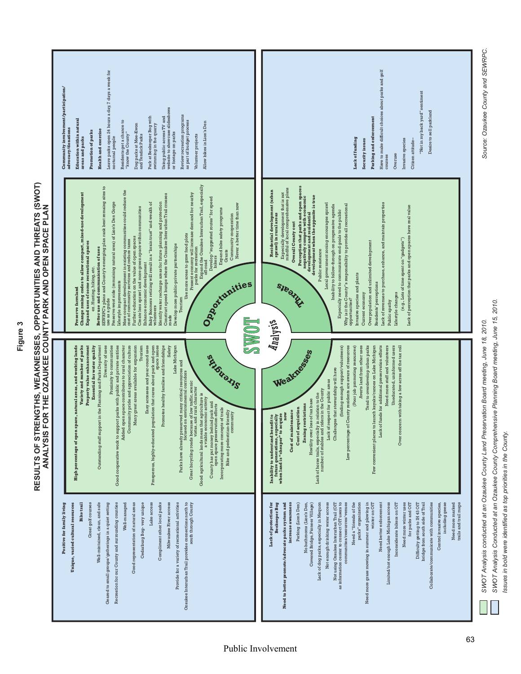| Leave parks open 24 hours a day, 7 days a week for<br>Community involvement/participation/<br>website to showcase slideshows<br>Review recreation programs<br>Park at Beekeeper Bog with<br>Using public access TV and<br>Education within natural<br>as part of budget process<br>Residents get a chance to<br>Allow bikes in Lion's Den<br>swimming in the quarry<br>Dog parks at Mee-Kwon<br>advocacy/donations<br><b>Health</b> and exercise<br><b>Promotion of parks</b><br>or footage on parks<br>"know the County"<br>Volunteer projects<br>and Tendick Parks<br>nocturnal people<br>areas and parks                                                                                                                                                                                                                                                                                                                                                                                                                                                                                                                                                                                                                                                                                                     | Have to make difficult choices about parks and golf<br>"Not in my back yard" sentiment<br>Desire to sell parkland<br>Parking and enforcement<br>Lack of funding<br>Invasive species<br>Security issues<br>Citizen attitude-<br>Overuse<br>courses                                                                                                                                                                                                                                                                                                                                                                                                                                                                                                                                                                                                                                                                                                                                |
|-----------------------------------------------------------------------------------------------------------------------------------------------------------------------------------------------------------------------------------------------------------------------------------------------------------------------------------------------------------------------------------------------------------------------------------------------------------------------------------------------------------------------------------------------------------------------------------------------------------------------------------------------------------------------------------------------------------------------------------------------------------------------------------------------------------------------------------------------------------------------------------------------------------------------------------------------------------------------------------------------------------------------------------------------------------------------------------------------------------------------------------------------------------------------------------------------------------------------------------------------------------------------------------------------------------------|----------------------------------------------------------------------------------------------------------------------------------------------------------------------------------------------------------------------------------------------------------------------------------------------------------------------------------------------------------------------------------------------------------------------------------------------------------------------------------------------------------------------------------------------------------------------------------------------------------------------------------------------------------------------------------------------------------------------------------------------------------------------------------------------------------------------------------------------------------------------------------------------------------------------------------------------------------------------------------|
| Expand the Ozaukee Interurban Trail, especially<br>off-road<br>SEWRPC's plans and County's emerging plan rank best remaing sites to<br>use as a guide<br>More compact development in existing communities could reduce the<br>cost of community services and reduce taxes<br>Change zoning codes to allow compact, mixed-use development<br>Present economy will increase demand for nearby<br>parks for recreation<br>Construct speed bumps where the Ozaukee Interurban Trail crosses<br>roads<br>Develop "suggested routes" for speed<br>bikers<br>Preserve west side (remaining natural area) of Lion's Den Gorge<br>Baby Boomers retiring will result in a "brain trust" and wealth of<br>Identify water recharge areas for future planning and protection<br>Never a better time than now<br>Create less sprawl and more green space within communities<br>Expand bike safety programs<br>Community cooperation<br>Use more areas to grow food plots<br>Further education on the value of open spaces<br>Expand uses of some recreational spaces<br>Develop more public-private partnerships<br>Better use and communication of uses<br>Grants<br>Enhance economic development<br>ex. Hunting, hiking, etc.<br>Lifestyle improvements<br>Oaquinities<br><b>Preserve farmland</b><br>Tourism<br>volunteers | Perception that parks and open spaces<br>negatively compete with economic<br>development when the opposite is true<br>development when the opposite is true<br>Especially development that is not<br>mindful of local comprehensive plans<br>Residential development (urban<br>sprawl) in rural areas<br>Local government zoning encourages sprawl<br>Lack of revenues to purchase, enhance, and maintain properties<br>Why is it the County''s responsibility to provide all recreational<br>Inability to follow-through on progressive agenda<br>Lack of perception that parks and open spaces have real value<br>Especially need to communicate end goals to the public<br>Overall County cost<br>(e.g., Lots of time spent on "gadgets")<br>Overpopulation and unlimited development<br>Public resistance<br>Invasive species and plants<br>Residents' perceptions<br>SIBOTULA<br>Lifestyle changes<br>Current economy<br>opportunities?<br>Public apathy                    |
| <b>LOWAS</b><br>Property value enhancement<br>Tourism<br>Easy accesses and year-round uses<br>Prosperous, highly-educated population that cares about park and open<br>Lake Michigan<br>Outstanding staff support in the Planning and Parks Department<br>Diversity of uses<br>Proximity to communities<br>Good cooperative work to support parks with public and private entities<br>Added open space contributes to rural character<br>Community pride and appreciation of culture<br>Many great areas available for expansion<br>Promotes healthy families and friendships<br>Safety<br>High percentage of open space, natural areas, and working lands<br>Variety and number of parks<br>Essential for water quality<br>space issues<br>Strengthe<br>Parks have already preserved many critical resources and<br>focused on environmental corridors<br>Great bicycling roads because of low traffic, scenic<br>vistas, and rural character<br>Good agricultural lands mean that agriculture is<br>a viable economic activity<br>County has put money behind park and<br>open space preservation efforts<br>Incorporating more concepts of trails<br>Bike and pedestrian-friendly<br>community                                                                                                               | Analysis<br>Tend to overdevelop urban parks<br>Few convenient places to launch kayaks/canoes on Lake Michigan<br>Lack of funds for additional preservation efforts<br>Need more staff and volunteers<br>Uneducated, uninformed users<br>Over concern with taking a few acres off the tax roll<br>(finding enough support/volunteers)<br>(Poor job promoting resources)<br>Averts land from other uses<br>Low percentage of County residents are aware of resources<br>Weaknesses<br>Challenges that stewardship will have<br>Lack of respect for public areas<br>Lack of horse trails, especially in relation to the<br>number of stables and riders in the County<br>Hostility over loss of tax base<br><b>Zoning restrictions</b><br>Cost of acquisition<br><b>Cost of maintenance</b><br>now<br>$\begin{array}{l} \textbf{Inability to understand benefit to}\\ \textbf{future generations}, \textbf{especially} \\ \textbf{when land is ``cheaper'' to acquire} \end{array}$ |
| Unique, varied cultural resources<br><b>Bike</b> trail<br>Well-mintained, clean, and safe<br>Well-managed<br>Ozaukee Interurban Trail provides connections north to<br>Great golf courses<br>Geared to small groups/gatherings in a quiet setting<br>Recreation for our County and surrounding counties<br>Cedarburg Bog-very unique<br>Compliment other local parks<br>Provide for a variety of recreational activities<br>south through County<br><b>Positive for family living</b><br>Good representation of natural areas<br>Lake access<br>Milwaukee River access                                                                                                                                                                                                                                                                                                                                                                                                                                                                                                                                                                                                                                                                                                                                          | increase awareness<br>Parking (Lion's Den)<br>Covered Bridge, Pioneer Village)<br>Lack of dog parks, especially in Mequon<br>Not enough drinking water access<br>communities/resources/venues<br>Need a "friends of the<br>parks" organization<br>Need more grass mowing in summer and plowing in<br>winter on OIT<br>Need better enforcement<br>Limited/not enough Lake Michigan access<br>Inconsiderate bikers on OIT<br>Need more winter uses<br>for parks and OIT<br>Difficulty getting to IH 43 OIT<br>bridge from south side of Trail<br>Collaborate/communicate with communities<br>including geese<br>trails and trail maps<br>Need to better promote/advocate parks system and<br>No bathrooms (Lion's Den,<br>Not using Ozaukee Interurban Trail (OIT<br>as information center to connect OIT users to<br>Control invasive species,<br>Need more marked<br>Lack of protection for<br><b>Beekeeper Bog</b>                                                              |

# RESULTS OF STRENGTHS, WEAKNESSES, OPPORTUNITIES AND THREATS (SWOT)<br>ANALYSIS FOR THE OZAUKEE COUNTY PARK AND OPEN SPACE PLAN **RESULTS OF STRENGTHS, WEAKNESSES, OPPORTUNITIES AND THREATS (SWOT) ANALYSIS FOR THE OZAUKEE COUNTY PARK AND OPEN SPACE PLAN**

*SWOT Analysis conducted at an Ozaukee County Land Preservation Board meeting, June 18, 2010. SWOT Analysis Conducted at an Ozaukee County Comprehensive Planning Board meeting, June 15, 2010.*

SWOT Analysis Conducted at an Ozaukee County Comprehensive Planning Board meeting, June 15, 2010. SWOT Analysis conducted at an Ozaukee County Land Preservation Board meeting, June 18, 2010.

*Source: Ozaukee County and SEWRPC.*

Source: Ozaukee County and SEWRPC.

*Issues in bold were identified as top priorities in the County.*

Issues in bold were identified as top priorities in the County.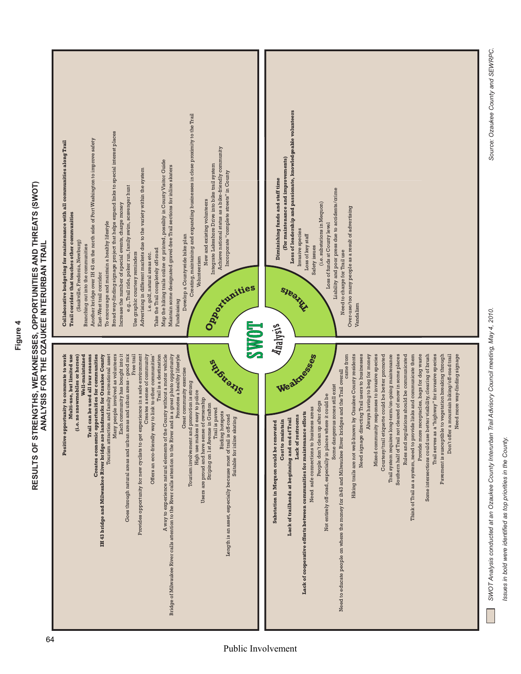# RESULTS OF STRENGTHS, WEAKNESSES, OPPORTUNITIES AND THREATS (SWOT)<br>ANALYSIS FOR THE OZAUKEE INTERURBAN TRAIL **RESULTS OF STRENGTHS, WEAKNESSES, OPPORTUNITIES AND THREATS (SWOT) ANALYSIS FOR THE OZAUKEE INTERURBAN TRAIL**

| Creating, maintaining and expanding businesses in close proximity to the Trail<br>Broad way-finding signage project that helps expand links to special interest places<br>Another bridge over IH 43 on the north side of Port Washington to improve safety<br>Collaborative budgeting for maintenance with all communities along Trail<br>Achieve national status as a bike-friendly community<br>Map the hiking trails online or printed, possibly in County Visitor Guide<br>Integrate Lakeshore Drive into bike trail system<br>Maintain some designated gravel-free Trail sections for inline skaters<br>Advertising in different markets due to the variety within the system<br>Incorporate "complete streets" in County<br>e.g., Trail ride, poker run, family swim, scavenger hunt<br>New and existing volunteers<br>Increase the number of special events, charge money<br>Trail corridor that touches other communities<br>To encourage and maintain a healthy lifestyle<br>Develop a Countywide bike plan<br>(Saukville, Fredonia, Newburg)<br>Branching out into the communities<br>Take the Trail completely off-road<br>Use graphic courtesy reminders<br>i.e. golf, natural areas etc.<br>Volunteerism<br>East-West trail corridor<br>Oaquinities<br>Fundraising<br><b>LOARS</b>                                               | Loss of leadership and passionate, knowledgeable volunteers<br>(For maintenance and improvements)<br>Diminishing funds and staff time<br>Liability and poor press due to accidents/crime<br>(i.e. substations in Mequon)<br>Over-use/too many people as a result of advertising<br>Loss of funds at County level<br>Invasive species<br>Loss of key staff<br>Safety issues<br>Need to charge for Trail use<br>SIBBILLI<br>Vandalism<br><i>Analysis</i>                                                                                                                                                                                                                                                                                                                                                                                                                                                                                                                                                                                                                                                                                                                                                                                                                                                                                                                            |
|-----------------------------------------------------------------------------------------------------------------------------------------------------------------------------------------------------------------------------------------------------------------------------------------------------------------------------------------------------------------------------------------------------------------------------------------------------------------------------------------------------------------------------------------------------------------------------------------------------------------------------------------------------------------------------------------------------------------------------------------------------------------------------------------------------------------------------------------------------------------------------------------------------------------------------------------------------------------------------------------------------------------------------------------------------------------------------------------------------------------------------------------------------------------------------------------------------------------------------------------------------------------------------------------------------------------------------------------------|-----------------------------------------------------------------------------------------------------------------------------------------------------------------------------------------------------------------------------------------------------------------------------------------------------------------------------------------------------------------------------------------------------------------------------------------------------------------------------------------------------------------------------------------------------------------------------------------------------------------------------------------------------------------------------------------------------------------------------------------------------------------------------------------------------------------------------------------------------------------------------------------------------------------------------------------------------------------------------------------------------------------------------------------------------------------------------------------------------------------------------------------------------------------------------------------------------------------------------------------------------------------------------------------------------------------------------------------------------------------------------------|
| Multi-use, but limited use<br>Trail can be used all four seasons<br>Creates economic opportunities for communities<br>Each community has bought into it<br>Goes through natural areas and urban areas and urban areas - good mix<br>Trail is a destination<br>County without a motor vehicle<br>Positive opportunity to commute to work<br>Well-maintained<br>Many people involved as volunteers<br>Free trail<br>Provides opportunity for new cyclists to get experience in a safe environment<br>Promotes a healthy lifestyle<br>e. no snowmobiles or horses)<br>IH 43 bridge and Milwaukee River bridge are landmarks for Ozaukee County<br>Tourism attraction and family recreational asset<br>Creates a sense of community<br>Bridge of Milwaukee River calls attention to the River calls attention to the River and is a great photo opportunity<br>Offers an eco-friendly way to link to other communities<br>Strengthe<br>Great community exercise<br>Tourism involvement and promotion is strong<br>High use makes it easy to police<br>of ownership<br>Striping on 1st Avenue in Grafton<br>is paved<br><b>Birding</b> hotspots<br>Length is an asset, especially because most of trail is off-road<br>Suitable for inline skating<br>ت:<br>A way to experience natural elements of the<br>Users are proud and have sense<br>Trail | Some intersections could use better visibility, clearing of brush<br>Need signage directing Trail users to businesses<br>Mixed community responses to invasive species<br>Trail system requires long-term/on-going maintenance<br>Rules and regulations should be communicated<br>Think of Trail as a system, need to provide links and communicate them<br>Provide more receptacles, bags for dog waste<br>Pavement is susceptible to vegetation breaking through<br>Don't offer a mountain biking/off-road trail<br>Need more way-finding signage<br>Wealdesigned<br>came from<br>Hiking trails are not well-known by Ozaukee County residents<br><b>Ilways having to beg for money</b><br>Courtesy/trail etiquette could be better promoted<br>Southern half of Trail not cleared of snow in some places<br>Trail serves as a "highway" for invasive species<br>Need to educate people on where the money for ih43 and Milwaukee River bridges and the Trail overall<br>Some dangerous zones still exist<br>Not entirely off-road, especially in places where it could be<br>People don't clean up after dogs<br>Need safe connections to business areas<br>efforts<br>Lack of restrooms<br>Lack of trailheads at beginning and end of Trail<br>Cost to maintain<br>Substation in Mequon could be renovated<br>Lack of cooperative efforts between communities for maintenance |

*SWOT Analysis conducted at an Ozaukee County Interurban Trail Advisory Council meeting, May 4, 2010.*

SWOT Analysis conducted at an Ozaukee County Interurban Trail Advisory Council meeting, May 4, 2010.

*Source: Ozaukee County and SEWRPC.*

Source: Ozaukee County and SEWRPC.

*Issues in bold were identified as top priorities in the County.*

Issues in bold were identified as top priorities in the County.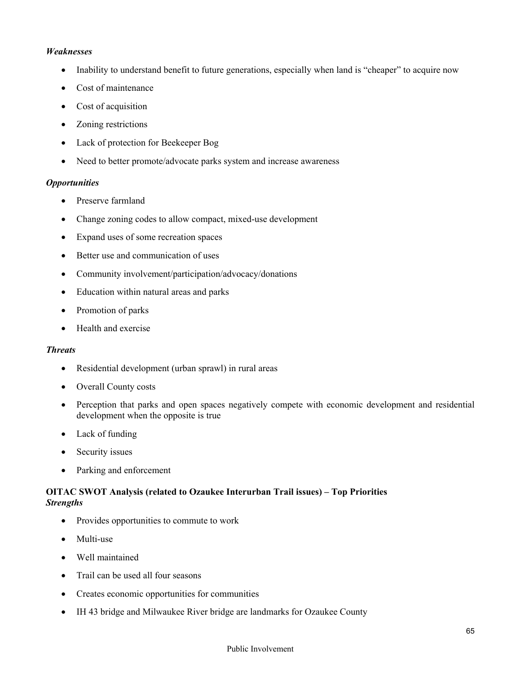## *Weaknesses*

- Inability to understand benefit to future generations, especially when land is "cheaper" to acquire now
- Cost of maintenance
- Cost of acquisition
- Zoning restrictions
- Lack of protection for Beekeeper Bog
- Need to better promote/advocate parks system and increase awareness

## *Opportunities*

- Preserve farmland
- Change zoning codes to allow compact, mixed-use development
- Expand uses of some recreation spaces
- Better use and communication of uses
- Community involvement/participation/advocacy/donations
- Education within natural areas and parks
- Promotion of parks
- Health and exercise

## *Threats*

- Residential development (urban sprawl) in rural areas
- Overall County costs
- Perception that parks and open spaces negatively compete with economic development and residential development when the opposite is true
- Lack of funding
- Security issues
- Parking and enforcement

## **OITAC SWOT Analysis (related to Ozaukee Interurban Trail issues) – Top Priorities**  *Strengths*

- Provides opportunities to commute to work
- Multi-use
- Well maintained
- Trail can be used all four seasons
- Creates economic opportunities for communities
- IH 43 bridge and Milwaukee River bridge are landmarks for Ozaukee County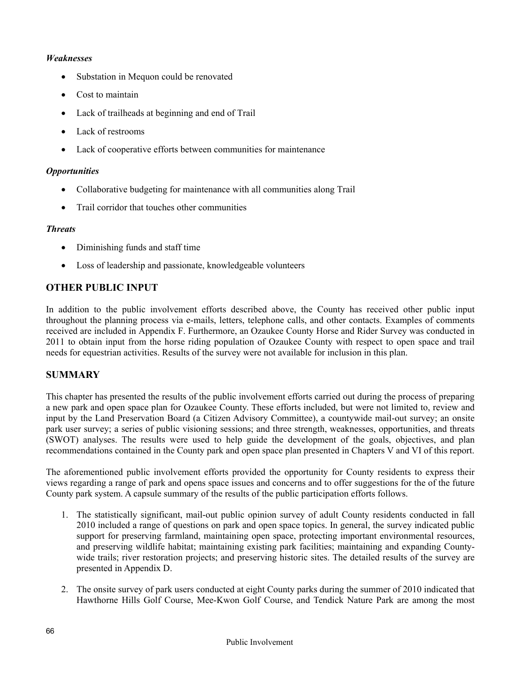## *Weaknesses*

- Substation in Mequon could be renovated
- Cost to maintain
- Lack of trailheads at beginning and end of Trail
- Lack of restrooms
- Lack of cooperative efforts between communities for maintenance

## *Opportunities*

- Collaborative budgeting for maintenance with all communities along Trail
- Trail corridor that touches other communities

## *Threats*

- Diminishing funds and staff time
- Loss of leadership and passionate, knowledgeable volunteers

# **OTHER PUBLIC INPUT**

In addition to the public involvement efforts described above, the County has received other public input throughout the planning process via e-mails, letters, telephone calls, and other contacts. Examples of comments received are included in Appendix F. Furthermore, an Ozaukee County Horse and Rider Survey was conducted in 2011 to obtain input from the horse riding population of Ozaukee County with respect to open space and trail needs for equestrian activities. Results of the survey were not available for inclusion in this plan.

## **SUMMARY**

This chapter has presented the results of the public involvement efforts carried out during the process of preparing a new park and open space plan for Ozaukee County. These efforts included, but were not limited to, review and input by the Land Preservation Board (a Citizen Advisory Committee), a countywide mail-out survey; an onsite park user survey; a series of public visioning sessions; and three strength, weaknesses, opportunities, and threats (SWOT) analyses. The results were used to help guide the development of the goals, objectives, and plan recommendations contained in the County park and open space plan presented in Chapters V and VI of this report.

The aforementioned public involvement efforts provided the opportunity for County residents to express their views regarding a range of park and opens space issues and concerns and to offer suggestions for the of the future County park system. A capsule summary of the results of the public participation efforts follows.

- 1. The statistically significant, mail-out public opinion survey of adult County residents conducted in fall 2010 included a range of questions on park and open space topics. In general, the survey indicated public support for preserving farmland, maintaining open space, protecting important environmental resources, and preserving wildlife habitat; maintaining existing park facilities; maintaining and expanding Countywide trails; river restoration projects; and preserving historic sites. The detailed results of the survey are presented in Appendix D.
- 2. The onsite survey of park users conducted at eight County parks during the summer of 2010 indicated that Hawthorne Hills Golf Course, Mee-Kwon Golf Course, and Tendick Nature Park are among the most